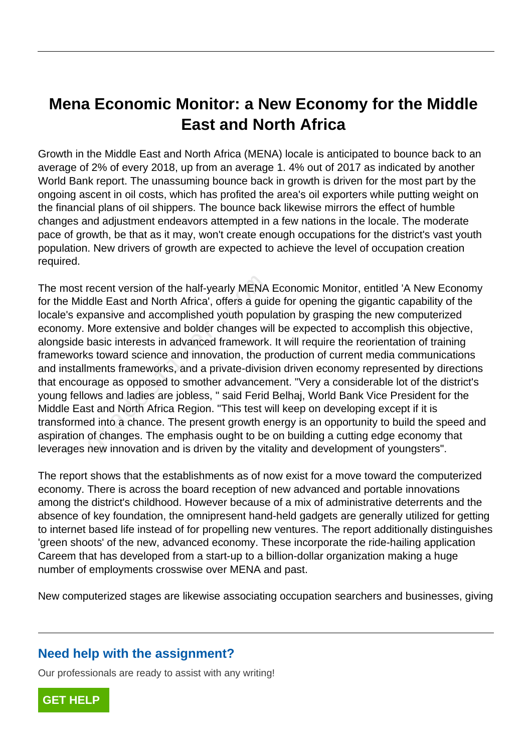## **Mena Economic Monitor: a New Economy for the Middle East and North Africa**

Growth in the Middle East and North Africa (MENA) locale is anticipated to bounce back to an average of 2% of every 2018, up from an average 1. 4% out of 2017 as indicated by another World Bank report. The unassuming bounce back in growth is driven for the most part by the ongoing ascent in oil costs, which has profited the area's oil exporters while putting weight on the financial plans of oil shippers. The bounce back likewise mirrors the effect of humble changes and adjustment endeavors attempted in a few nations in the locale. The moderate pace of growth, be that as it may, won't create enough occupations for the district's vast youth population. New drivers of growth are expected to achieve the level of occupation creation required.

The most recent version of the half-yearly MENA Economic Monitor, entitled 'A New Economy for the Middle East and North Africa', offers a guide for opening the gigantic capability of the locale's expansive and accomplished youth population by grasping the new computerized economy. More extensive and bolder changes will be expected to accomplish this objective, alongside basic interests in advanced framework. It will require the reorientation of training frameworks toward science and innovation, the production of current media communications and installments frameworks, and a private-division driven economy represented by directions that encourage as opposed to smother advancement. "Very a considerable lot of the district's young fellows and ladies are jobless, " said Ferid Belhaj, World Bank Vice President for the Middle East and North Africa Region. "This test will keep on developing except if it is transformed into a chance. The present growth energy is an opportunity to build the speed and aspiration of changes. The emphasis ought to be on building a cutting edge economy that leverages new innovation and is driven by the vitality and development of youngsters". recent version of the half-yearly MENA<br>Idle East and North Africa', offers a gui-<br>pansive and accomplished youth popu<br>More extensive and bolder changes wi<br>basic interests in advanced framework<br>s toward science and innovati

The report shows that the establishments as of now exist for a move toward the computerized economy. There is across the board reception of new advanced and portable innovations among the district's childhood. However because of a mix of administrative deterrents and the absence of key foundation, the omnipresent hand-held gadgets are generally utilized for getting to internet based life instead of for propelling new ventures. The report additionally distinguishes 'green shoots' of the new, advanced economy. These incorporate the ride-hailing application Careem that has developed from a start-up to a billion-dollar organization making a huge number of employments crosswise over MENA and past.

New computerized stages are likewise associating occupation searchers and businesses, giving

## **Need help with the assignment?**

Our professionals are ready to assist with any writing!